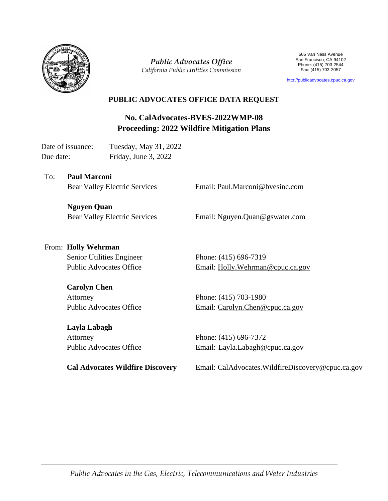

*Public Advocates Office California Public Utilities Commission*

505 Van Ness Avenue San Francisco, CA 94102 Phone: (415) 703-2544 Fax: (415) 703-2057

[http://publicadvocates.cpuc.ca.gov](http://publicadvocates.cpuc.ca.gov/)

#### **PUBLIC ADVOCATES OFFICE DATA REQUEST**

**No. CalAdvocates-BVES-2022WMP-08 Proceeding: 2022 Wildfire Mitigation Plans**

Date of issuance: Tuesday, May 31, 2022 Due date: Friday, June 3, 2022

To: **Paul Marconi**  Bear Valley Electric Services

Email: Paul.Marconi@bvesinc.com

**Nguyen Quan** Bear Valley Electric Services

Email: Nguyen.Quan@gswater.com

# From: **Holly Wehrman**

Senior Utilities Engineer Public Advocates Office

#### **Carolyn Chen**

Attorney Public Advocates Office

#### **Layla Labagh**

Attorney Public Advocates Office

**Cal Advocates Wildfire Discovery** 

Phone: (415) 696-7319 Email: [Holly.Wehrman@cpuc.ca.gov](mailto:Holly.Wehrman@cpuc.ca.gov)

Phone: (415) 703-1980 Email: [Carolyn.Chen@cpuc.ca.gov](mailto:Carolyn.Chen@cpuc.ca.gov)

Phone: (415) 696-7372 Email: [Layla.Labagh@cpuc.ca.gov](mailto:Layla.Labagh@cpuc.ca.gov)

Email: CalAdvocates.WildfireDiscovery@cpuc.ca.gov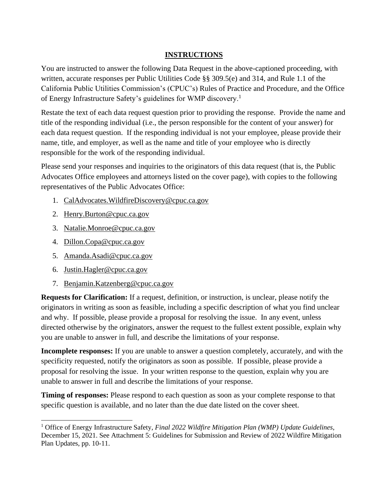### **INSTRUCTIONS**

You are instructed to answer the following Data Request in the above-captioned proceeding, with written, accurate responses per Public Utilities Code §§ 309.5(e) and 314, and Rule 1.1 of the California Public Utilities Commission's (CPUC's) Rules of Practice and Procedure, and the Office of Energy Infrastructure Safety's guidelines for WMP discovery.<sup>1</sup>

Restate the text of each data request question prior to providing the response. Provide the name and title of the responding individual (i.e., the person responsible for the content of your answer) for each data request question. If the responding individual is not your employee, please provide their name, title, and employer, as well as the name and title of your employee who is directly responsible for the work of the responding individual.

Please send your responses and inquiries to the originators of this data request (that is, the Public Advocates Office employees and attorneys listed on the cover page), with copies to the following representatives of the Public Advocates Office:

- 1. [CalAdvocates.WildfireDiscovery@cpuc.ca.gov](mailto:CalAdvocates.WildfireDiscovery@cpuc.ca.gov)
- 2. [Henry.Burton@cpuc.ca.gov](mailto:Henry.Burton@cpuc.ca.gov)
- 3. [Natalie.Monroe@cpuc.ca.gov](mailto:Natalie.Monroe@cpuc.ca.gov)
- 4. [Dillon.Copa@cpuc.ca.gov](mailto:Dillon.Copa@cpuc.ca.gov)
- 5. [Amanda.Asadi@cpuc.ca.gov](mailto:Amanda.Asadi@cpuc.ca.gov)
- 6. [Justin.Hagler@cpuc.ca.gov](mailto:Justin.Hagler@cpuc.ca.gov)
- 7. [Benjamin.Katzenberg@cpuc.ca.gov](mailto:Benjamin.Katzenberg@cpuc.ca.gov)

**Requests for Clarification:** If a request, definition, or instruction, is unclear, please notify the originators in writing as soon as feasible, including a specific description of what you find unclear and why. If possible, please provide a proposal for resolving the issue. In any event, unless directed otherwise by the originators, answer the request to the fullest extent possible, explain why you are unable to answer in full, and describe the limitations of your response.

**Incomplete responses:** If you are unable to answer a question completely, accurately, and with the specificity requested, notify the originators as soon as possible. If possible, please provide a proposal for resolving the issue. In your written response to the question, explain why you are unable to answer in full and describe the limitations of your response.

**Timing of responses:** Please respond to each question as soon as your complete response to that specific question is available, and no later than the due date listed on the cover sheet.

<sup>1</sup> Office of Energy Infrastructure Safety, *Final 2022 Wildfire Mitigation Plan (WMP) Update Guidelines*, December 15, 2021. See Attachment 5: Guidelines for Submission and Review of 2022 Wildfire Mitigation Plan Updates, pp. 10-11.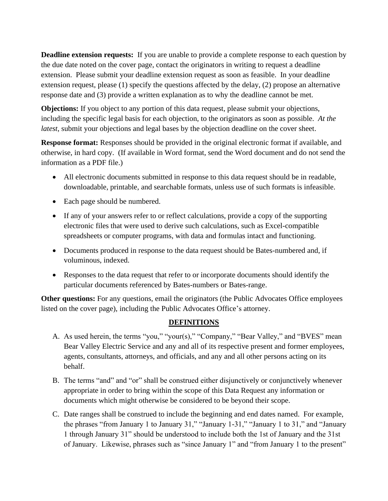**Deadline extension requests:** If you are unable to provide a complete response to each question by the due date noted on the cover page, contact the originators in writing to request a deadline extension. Please submit your deadline extension request as soon as feasible. In your deadline extension request, please (1) specify the questions affected by the delay, (2) propose an alternative response date and (3) provide a written explanation as to why the deadline cannot be met.

**Objections:** If you object to any portion of this data request, please submit your objections, including the specific legal basis for each objection, to the originators as soon as possible. *At the latest*, submit your objections and legal bases by the objection deadline on the cover sheet.

**Response format:** Responses should be provided in the original electronic format if available, and otherwise, in hard copy. (If available in Word format, send the Word document and do not send the information as a PDF file.)

- All electronic documents submitted in response to this data request should be in readable, downloadable, printable, and searchable formats, unless use of such formats is infeasible.
- Each page should be numbered.
- If any of your answers refer to or reflect calculations, provide a copy of the supporting electronic files that were used to derive such calculations, such as Excel-compatible spreadsheets or computer programs, with data and formulas intact and functioning.
- Documents produced in response to the data request should be Bates-numbered and, if voluminous, indexed.
- Responses to the data request that refer to or incorporate documents should identify the particular documents referenced by Bates-numbers or Bates-range.

**Other questions:** For any questions, email the originators (the Public Advocates Office employees listed on the cover page), including the Public Advocates Office's attorney.

### **DEFINITIONS**

- A. As used herein, the terms "you," "your(s)," "Company," "Bear Valley," and "BVES" mean Bear Valley Electric Service and any and all of its respective present and former employees, agents, consultants, attorneys, and officials, and any and all other persons acting on its behalf.
- B. The terms "and" and "or" shall be construed either disjunctively or conjunctively whenever appropriate in order to bring within the scope of this Data Request any information or documents which might otherwise be considered to be beyond their scope.
- C. Date ranges shall be construed to include the beginning and end dates named. For example, the phrases "from January 1 to January 31," "January 1-31," "January 1 to 31," and "January 1 through January 31" should be understood to include both the 1st of January and the 31st of January. Likewise, phrases such as "since January 1" and "from January 1 to the present"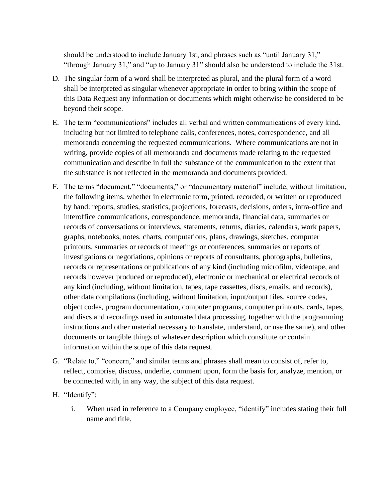should be understood to include January 1st, and phrases such as "until January 31," "through January 31," and "up to January 31" should also be understood to include the 31st.

- D. The singular form of a word shall be interpreted as plural, and the plural form of a word shall be interpreted as singular whenever appropriate in order to bring within the scope of this Data Request any information or documents which might otherwise be considered to be beyond their scope.
- E. The term "communications" includes all verbal and written communications of every kind, including but not limited to telephone calls, conferences, notes, correspondence, and all memoranda concerning the requested communications. Where communications are not in writing, provide copies of all memoranda and documents made relating to the requested communication and describe in full the substance of the communication to the extent that the substance is not reflected in the memoranda and documents provided.
- F. The terms "document," "documents," or "documentary material" include, without limitation, the following items, whether in electronic form, printed, recorded, or written or reproduced by hand: reports, studies, statistics, projections, forecasts, decisions, orders, intra-office and interoffice communications, correspondence, memoranda, financial data, summaries or records of conversations or interviews, statements, returns, diaries, calendars, work papers, graphs, notebooks, notes, charts, computations, plans, drawings, sketches, computer printouts, summaries or records of meetings or conferences, summaries or reports of investigations or negotiations, opinions or reports of consultants, photographs, bulletins, records or representations or publications of any kind (including microfilm, videotape, and records however produced or reproduced), electronic or mechanical or electrical records of any kind (including, without limitation, tapes, tape cassettes, discs, emails, and records), other data compilations (including, without limitation, input/output files, source codes, object codes, program documentation, computer programs, computer printouts, cards, tapes, and discs and recordings used in automated data processing, together with the programming instructions and other material necessary to translate, understand, or use the same), and other documents or tangible things of whatever description which constitute or contain information within the scope of this data request.
- G. "Relate to," "concern," and similar terms and phrases shall mean to consist of, refer to, reflect, comprise, discuss, underlie, comment upon, form the basis for, analyze, mention, or be connected with, in any way, the subject of this data request.
- H. "Identify":
	- i. When used in reference to a Company employee, "identify" includes stating their full name and title.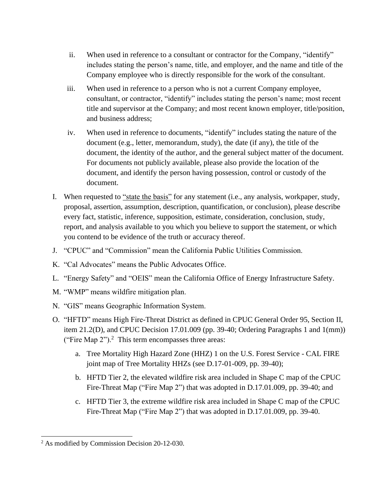- ii. When used in reference to a consultant or contractor for the Company, "identify" includes stating the person's name, title, and employer, and the name and title of the Company employee who is directly responsible for the work of the consultant.
- iii. When used in reference to a person who is not a current Company employee, consultant, or contractor, "identify" includes stating the person's name; most recent title and supervisor at the Company; and most recent known employer, title/position, and business address;
- iv. When used in reference to documents, "identify" includes stating the nature of the document (e.g., letter, memorandum, study), the date (if any), the title of the document, the identity of the author, and the general subject matter of the document. For documents not publicly available, please also provide the location of the document, and identify the person having possession, control or custody of the document.
- I. When requested to "state the basis" for any statement (i.e., any analysis, workpaper, study, proposal, assertion, assumption, description, quantification, or conclusion), please describe every fact, statistic, inference, supposition, estimate, consideration, conclusion, study, report, and analysis available to you which you believe to support the statement, or which you contend to be evidence of the truth or accuracy thereof.
- J. "CPUC" and "Commission" mean the California Public Utilities Commission.
- K. "Cal Advocates" means the Public Advocates Office.
- L. "Energy Safety" and "OEIS" mean the California Office of Energy Infrastructure Safety.
- M. "WMP" means wildfire mitigation plan.
- N. "GIS" means Geographic Information System.
- O. "HFTD" means High Fire-Threat District as defined in CPUC General Order 95, Section II, item 21.2(D), and CPUC Decision 17.01.009 (pp. 39-40; Ordering Paragraphs 1 and 1(mm)) ("Fire Map  $2$ ").<sup>2</sup> This term encompasses three areas:
	- a. Tree Mortality High Hazard Zone (HHZ) 1 on the U.S. Forest Service CAL FIRE joint map of Tree Mortality HHZs (see D.17-01-009, pp. 39-40);
	- b. HFTD Tier 2, the elevated wildfire risk area included in Shape C map of the CPUC Fire-Threat Map ("Fire Map 2") that was adopted in D.17.01.009, pp. 39-40; and
	- c. HFTD Tier 3, the extreme wildfire risk area included in Shape C map of the CPUC Fire-Threat Map ("Fire Map 2") that was adopted in D.17.01.009, pp. 39-40.

<sup>2</sup> As modified by Commission Decision 20-12-030.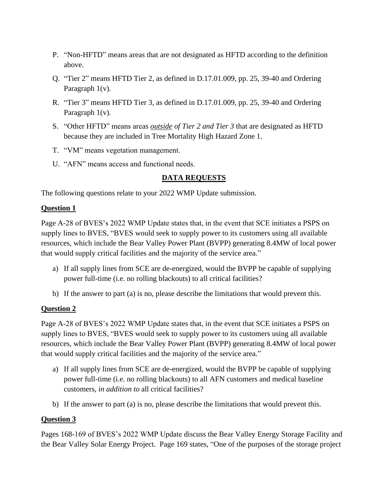- P. "Non-HFTD" means areas that are not designated as HFTD according to the definition above.
- Q. "Tier 2" means HFTD Tier 2, as defined in D.17.01.009, pp. 25, 39-40 and Ordering Paragraph 1(v).
- R. "Tier 3" means HFTD Tier 3, as defined in D.17.01.009, pp. 25, 39-40 and Ordering Paragraph 1(v).
- S. "Other HFTD" means areas *outside of Tier 2 and Tier 3* that are designated as HFTD because they are included in Tree Mortality High Hazard Zone 1.
- T. "VM" means vegetation management.
- U. "AFN" means access and functional needs.

### **DATA REQUESTS**

The following questions relate to your 2022 WMP Update submission.

#### **Question 1**

Page A-28 of BVES's 2022 WMP Update states that, in the event that SCE initiates a PSPS on supply lines to BVES, "BVES would seek to supply power to its customers using all available resources, which include the Bear Valley Power Plant (BVPP) generating 8.4MW of local power that would supply critical facilities and the majority of the service area."

- a) If all supply lines from SCE are de-energized, would the BVPP be capable of supplying power full-time (i.e. no rolling blackouts) to all critical facilities?
- b) If the answer to part (a) is no, please describe the limitations that would prevent this.

### **Question 2**

Page A-28 of BVES's 2022 WMP Update states that, in the event that SCE initiates a PSPS on supply lines to BVES, "BVES would seek to supply power to its customers using all available resources, which include the Bear Valley Power Plant (BVPP) generating 8.4MW of local power that would supply critical facilities and the majority of the service area."

- a) If all supply lines from SCE are de-energized, would the BVPP be capable of supplying power full-time (i.e. no rolling blackouts) to all AFN customers and medical baseline customers, *in addition to* all critical facilities?
- b) If the answer to part (a) is no, please describe the limitations that would prevent this.

### **Question 3**

Pages 168-169 of BVES's 2022 WMP Update discuss the Bear Valley Energy Storage Facility and the Bear Valley Solar Energy Project. Page 169 states, "One of the purposes of the storage project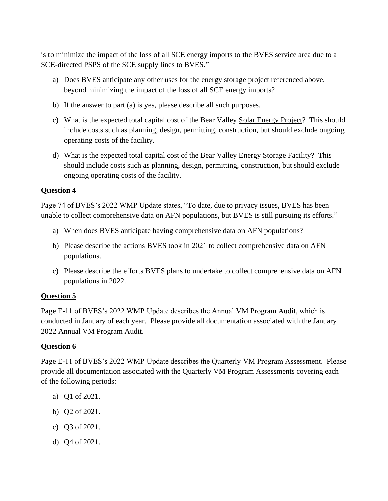is to minimize the impact of the loss of all SCE energy imports to the BVES service area due to a SCE-directed PSPS of the SCE supply lines to BVES."

- a) Does BVES anticipate any other uses for the energy storage project referenced above, beyond minimizing the impact of the loss of all SCE energy imports?
- b) If the answer to part (a) is yes, please describe all such purposes.
- c) What is the expected total capital cost of the Bear Valley Solar Energy Project? This should include costs such as planning, design, permitting, construction, but should exclude ongoing operating costs of the facility.
- d) What is the expected total capital cost of the Bear Valley Energy Storage Facility? This should include costs such as planning, design, permitting, construction, but should exclude ongoing operating costs of the facility.

#### **Question 4**

Page 74 of BVES's 2022 WMP Update states, "To date, due to privacy issues, BVES has been unable to collect comprehensive data on AFN populations, but BVES is still pursuing its efforts."

- a) When does BVES anticipate having comprehensive data on AFN populations?
- b) Please describe the actions BVES took in 2021 to collect comprehensive data on AFN populations.
- c) Please describe the efforts BVES plans to undertake to collect comprehensive data on AFN populations in 2022.

### **Question 5**

Page E-11 of BVES's 2022 WMP Update describes the Annual VM Program Audit, which is conducted in January of each year. Please provide all documentation associated with the January 2022 Annual VM Program Audit.

### **Question 6**

Page E-11 of BVES's 2022 WMP Update describes the Quarterly VM Program Assessment. Please provide all documentation associated with the Quarterly VM Program Assessments covering each of the following periods:

- a) Q1 of 2021.
- b) Q2 of 2021.
- c) Q3 of 2021.
- d) Q4 of 2021.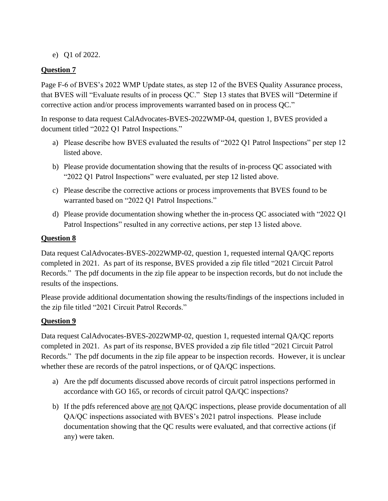e) Q1 of 2022.

### **Question 7**

Page F-6 of BVES's 2022 WMP Update states, as step 12 of the BVES Quality Assurance process, that BVES will "Evaluate results of in process QC." Step 13 states that BVES will "Determine if corrective action and/or process improvements warranted based on in process QC."

In response to data request CalAdvocates-BVES-2022WMP-04, question 1, BVES provided a document titled "2022 Q1 Patrol Inspections."

- a) Please describe how BVES evaluated the results of "2022 Q1 Patrol Inspections" per step 12 listed above.
- b) Please provide documentation showing that the results of in-process QC associated with "2022 Q1 Patrol Inspections" were evaluated, per step 12 listed above.
- c) Please describe the corrective actions or process improvements that BVES found to be warranted based on "2022 Q1 Patrol Inspections."
- d) Please provide documentation showing whether the in-process QC associated with "2022 Q1 Patrol Inspections" resulted in any corrective actions, per step 13 listed above.

### **Question 8**

Data request CalAdvocates-BVES-2022WMP-02, question 1, requested internal QA/QC reports completed in 2021. As part of its response, BVES provided a zip file titled "2021 Circuit Patrol Records." The pdf documents in the zip file appear to be inspection records, but do not include the results of the inspections.

Please provide additional documentation showing the results/findings of the inspections included in the zip file titled "2021 Circuit Patrol Records."

# **Question 9**

Data request CalAdvocates-BVES-2022WMP-02, question 1, requested internal QA/QC reports completed in 2021. As part of its response, BVES provided a zip file titled "2021 Circuit Patrol Records." The pdf documents in the zip file appear to be inspection records. However, it is unclear whether these are records of the patrol inspections, or of QA/QC inspections.

- a) Are the pdf documents discussed above records of circuit patrol inspections performed in accordance with GO 165, or records of circuit patrol QA/QC inspections?
- b) If the pdfs referenced above are not QA/QC inspections, please provide documentation of all QA/QC inspections associated with BVES's 2021 patrol inspections. Please include documentation showing that the QC results were evaluated, and that corrective actions (if any) were taken.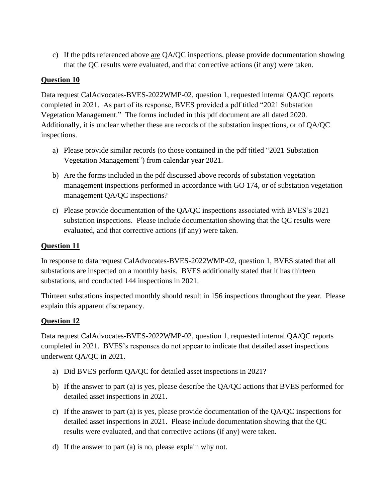c) If the pdfs referenced above are QA/QC inspections, please provide documentation showing that the QC results were evaluated, and that corrective actions (if any) were taken.

#### **Question 10**

Data request CalAdvocates-BVES-2022WMP-02, question 1, requested internal OA/OC reports completed in 2021. As part of its response, BVES provided a pdf titled "2021 Substation Vegetation Management." The forms included in this pdf document are all dated 2020. Additionally, it is unclear whether these are records of the substation inspections, or of QA/QC inspections.

- a) Please provide similar records (to those contained in the pdf titled "2021 Substation Vegetation Management") from calendar year 2021.
- b) Are the forms included in the pdf discussed above records of substation vegetation management inspections performed in accordance with GO 174, or of substation vegetation management QA/QC inspections?
- c) Please provide documentation of the QA/QC inspections associated with BVES's 2021 substation inspections. Please include documentation showing that the QC results were evaluated, and that corrective actions (if any) were taken.

#### **Question 11**

In response to data request CalAdvocates-BVES-2022WMP-02, question 1, BVES stated that all substations are inspected on a monthly basis. BVES additionally stated that it has thirteen substations, and conducted 144 inspections in 2021.

Thirteen substations inspected monthly should result in 156 inspections throughout the year. Please explain this apparent discrepancy.

### **Question 12**

Data request CalAdvocates-BVES-2022WMP-02, question 1, requested internal QA/QC reports completed in 2021. BVES's responses do not appear to indicate that detailed asset inspections underwent QA/QC in 2021.

- a) Did BVES perform QA/QC for detailed asset inspections in 2021?
- b) If the answer to part (a) is yes, please describe the QA/QC actions that BVES performed for detailed asset inspections in 2021.
- c) If the answer to part (a) is yes, please provide documentation of the QA/QC inspections for detailed asset inspections in 2021. Please include documentation showing that the QC results were evaluated, and that corrective actions (if any) were taken.
- d) If the answer to part (a) is no, please explain why not.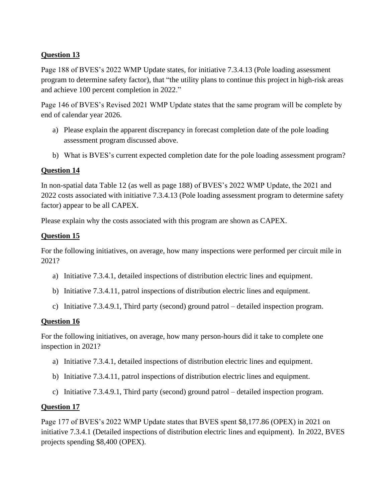## **Question 13**

Page 188 of BVES's 2022 WMP Update states, for initiative 7.3.4.13 (Pole loading assessment program to determine safety factor), that "the utility plans to continue this project in high-risk areas and achieve 100 percent completion in 2022."

Page 146 of BVES's Revised 2021 WMP Update states that the same program will be complete by end of calendar year 2026.

- a) Please explain the apparent discrepancy in forecast completion date of the pole loading assessment program discussed above.
- b) What is BVES's current expected completion date for the pole loading assessment program?

# **Question 14**

In non-spatial data Table 12 (as well as page 188) of BVES's 2022 WMP Update, the 2021 and 2022 costs associated with initiative 7.3.4.13 (Pole loading assessment program to determine safety factor) appear to be all CAPEX.

Please explain why the costs associated with this program are shown as CAPEX.

### **Question 15**

For the following initiatives, on average, how many inspections were performed per circuit mile in 2021?

- a) Initiative 7.3.4.1, detailed inspections of distribution electric lines and equipment.
- b) Initiative 7.3.4.11, patrol inspections of distribution electric lines and equipment.
- c) Initiative 7.3.4.9.1, Third party (second) ground patrol detailed inspection program.

### **Question 16**

For the following initiatives, on average, how many person-hours did it take to complete one inspection in 2021?

- a) Initiative 7.3.4.1, detailed inspections of distribution electric lines and equipment.
- b) Initiative 7.3.4.11, patrol inspections of distribution electric lines and equipment.
- c) Initiative 7.3.4.9.1, Third party (second) ground patrol detailed inspection program.

### **Question 17**

Page 177 of BVES's 2022 WMP Update states that BVES spent \$8,177.86 (OPEX) in 2021 on initiative 7.3.4.1 (Detailed inspections of distribution electric lines and equipment). In 2022, BVES projects spending \$8,400 (OPEX).